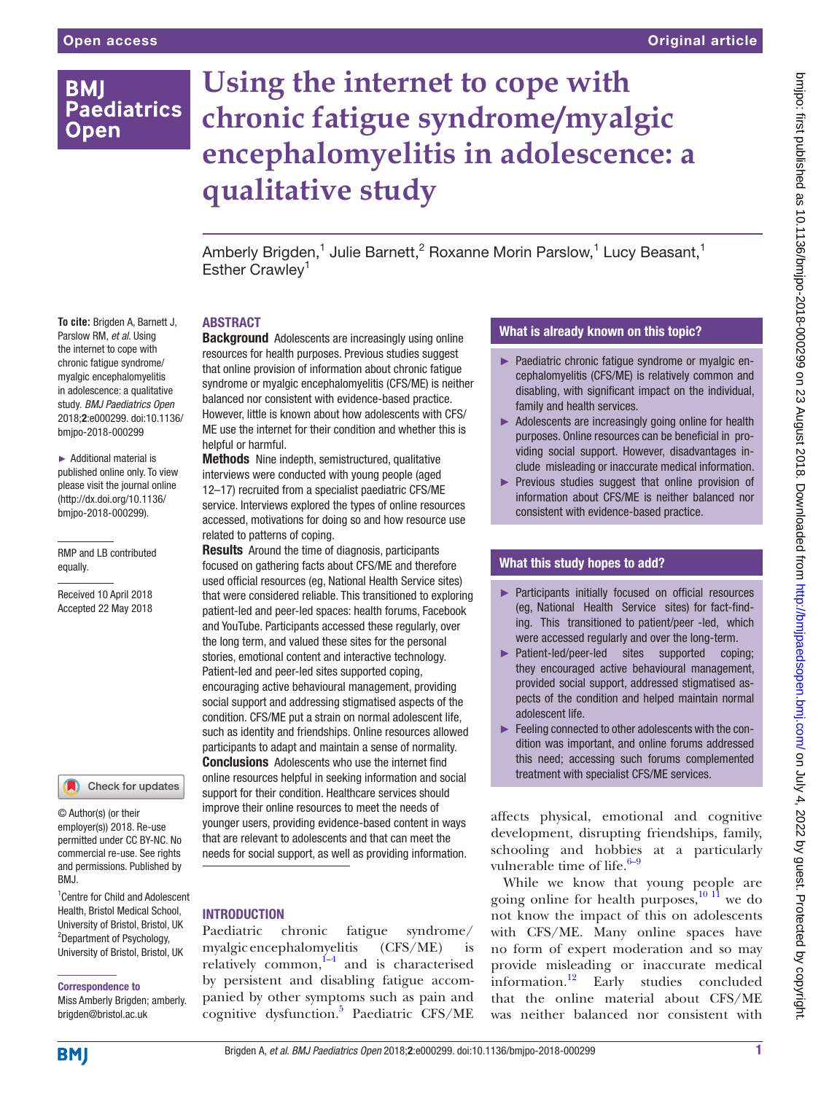# **BMI Paediatrics Open**

**To cite:** Brigden A, Barnett J, Parslow RM, *et al*. Using the internet to cope with chronic fatigue syndrome/ myalgic encephalomyelitis in adolescence: a qualitative study. *BMJ Paediatrics Open* 2018;2:e000299. doi:10.1136/ bmjpo-2018-000299

► Additional material is published online only. To view please visit the journal online (http://dx.doi.org/10.1136/ bmjpo-2018-000299).

RMP and LB contributed

Received 10 April 2018 Accepted 22 May 2018

equally.

# **Using the internet to cope with chronic fatigue syndrome/myalgic encephalomyelitis in adolescence: a qualitative study**

Amberly Brigden,<sup>1</sup> Julie Barnett,<sup>2</sup> Roxanne Morin Parslow,<sup>1</sup> Lucy Beasant,<sup>1</sup> Esther Crawley<sup>1</sup>

# **ABSTRACT**

**Background** Adolescents are increasingly using online resources for health purposes. Previous studies suggest that online provision of information about chronic fatigue syndrome or myalgic encephalomyelitis (CFS/ME) is neither balanced nor consistent with evidence-based practice. However, little is known about how adolescents with CFS/ ME use the internet for their condition and whether this is helpful or harmful.

**Methods** Nine indepth, semistructured, qualitative interviews were conducted with young people (aged 12–17) recruited from a specialist paediatric CFS/ME service. Interviews explored the types of online resources accessed, motivations for doing so and how resource use related to patterns of coping.

Results Around the time of diagnosis, participants focused on gathering facts about CFS/ME and therefore used official resources (eg, National Health Service sites) that were considered reliable. This transitioned to exploring patient-led and peer-led spaces: health forums, Facebook and YouTube. Participants accessed these regularly, over the long term, and valued these sites for the personal stories, emotional content and interactive technology. Patient-led and peer-led sites supported coping, encouraging active behavioural management, providing social support and addressing stigmatised aspects of the condition. CFS/ME put a strain on normal adolescent life, such as identity and friendships. Online resources allowed participants to adapt and maintain a sense of normality. Conclusions Adolescents who use the internet find online resources helpful in seeking information and social support for their condition. Healthcare services should improve their online resources to meet the needs of younger users, providing evidence-based content in ways that are relevant to adolescents and that can meet the needs for social support, as well as providing information.

#### 1 Centre for Child and Adolescent **INTRODUCTION**

Paediatric chronic fatigue syndrome/ myalgic encephalomyelitis (CFS/ME) is relatively common, $^{1-4}$  and is characterised by persistent and disabling fatigue accompanied by other symptoms such as pain and cognitive dysfunction.<sup>[5](#page-4-1)</sup> Paediatric CFS/ME

# What is already known on this topic?

- ► Paediatric chronic fatique syndrome or myalgic encephalomyelitis (CFS/ME) is relatively common and disabling, with significant impact on the individual, family and health services.
- ► Adolescents are increasingly going online for health purposes. Online resources can be beneficial in providing social support. However, disadvantages include misleading or inaccurate medical information.
- ► Previous studies suggest that online provision of information about CFS/ME is neither balanced nor consistent with evidence-based practice.

# What this study hopes to add?

- ► Participants initially focused on official resources (eg, National Health Service sites) for fact-finding. This transitioned to patient/peer -led, which were accessed regularly and over the long-term.
- ► Patient-led/peer-led sites supported coping; they encouraged active behavioural management, provided social support, addressed stigmatised aspects of the condition and helped maintain normal adolescent life.
- ► Feeling connected to other adolescents with the condition was important, and online forums addressed this need; accessing such forums complemented treatment with specialist CFS/ME services.

affects physical, emotional and cognitive development, disrupting friendships, family, schooling and hobbies at a particularly vulnerable time of life. $6-9$ 

While we know that young people are going online for health purposes, $10^{-11}$  we do not know the impact of this on adolescents with CFS/ME. Many online spaces have no form of expert moderation and so may provide misleading or inaccurate medical information.<sup>[12](#page-5-0)</sup> Early studies concluded that the online material about CFS/ME was neither balanced nor consistent with

# **BMJ**

BMJ.

Health, Bristol Medical School, University of Bristol, Bristol, UK <sup>2</sup>Department of Psychology, University of Bristol, Bristol, UK

Check for updates

Correspondence to Miss Amberly Brigden; amberly. brigden@bristol.ac.uk

© Author(s) (or their employer(s)) 2018. Re-use permitted under CC BY-NC. No commercial re-use. See rights and permissions. Published by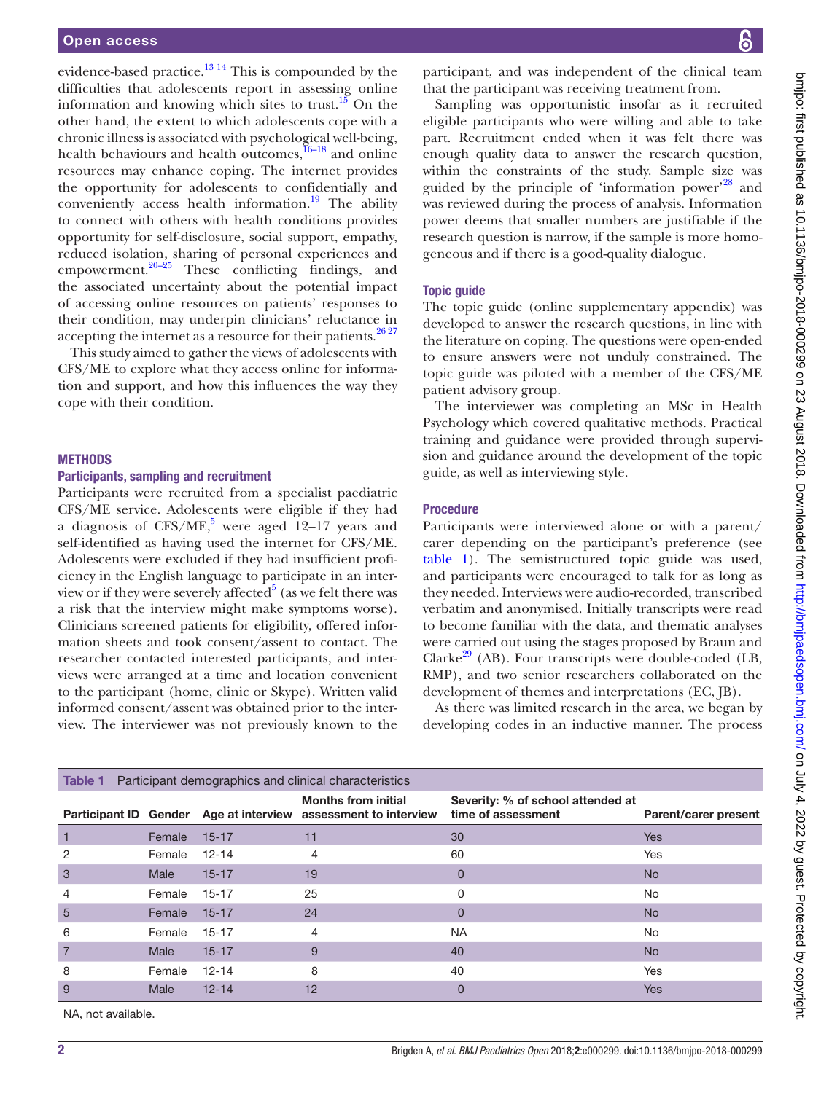evidence-based practice. $13 \frac{14}{11}$  This is compounded by the difficulties that adolescents report in assessing online information and knowing which sites to trust.<sup>15</sup> On the other hand, the extent to which adolescents cope with a chronic illness is associated with psychological well-being, health behaviours and health outcomes, $16-18$  and online resources may enhance coping. The internet provides the opportunity for adolescents to confidentially and conveniently access health information.<sup>19</sup> The ability to connect with others with health conditions provides opportunity for self-disclosure, social support, empathy, reduced isolation, sharing of personal experiences and empowerment. $20-25$  These conflicting findings, and the associated uncertainty about the potential impact of accessing online resources on patients' responses to their condition, may underpin clinicians' reluctance in accepting the internet as a resource for their patients. $26\frac{26}{27}$ 

This study aimed to gather the views of adolescents with CFS/ME to explore what they access online for information and support, and how this influences the way they cope with their condition.

#### **METHODS**

#### Participants, sampling and recruitment

Participants were recruited from a specialist paediatric CFS/ME service. Adolescents were eligible if they had a diagnosis of  $CFS/ME$ ,<sup>[5](#page-4-1)</sup> were aged  $12-17$  years and self-identified as having used the internet for CFS/ME. Adolescents were excluded if they had insufficient proficiency in the English language to participate in an interview or if they were severely affected<sup>5</sup> (as we felt there was a risk that the interview might make symptoms worse). Clinicians screened patients for eligibility, offered information sheets and took consent/assent to contact. The researcher contacted interested participants, and interviews were arranged at a time and location convenient to the participant (home, clinic or Skype). Written valid informed consent/assent was obtained prior to the interview. The interviewer was not previously known to the

participant, and was independent of the clinical team that the participant was receiving treatment from.

Sampling was opportunistic insofar as it recruited eligible participants who were willing and able to take part. Recruitment ended when it was felt there was enough quality data to answer the research question, within the constraints of the study. Sample size was guided by the principle of 'information power'<sup>28</sup> and was reviewed during the process of analysis. Information power deems that smaller numbers are justifiable if the research question is narrow, if the sample is more homogeneous and if there is a good-quality dialogue.

#### Topic guide

The topic guide (online [supplementary appendix](https://dx.doi.org/10.1136/bmjpo-2018-000299)) was developed to answer the research questions, in line with the literature on coping. The questions were open-ended to ensure answers were not unduly constrained. The topic guide was piloted with a member of the CFS/ME patient advisory group.

The interviewer was completing an MSc in Health Psychology which covered qualitative methods. Practical training and guidance were provided through supervision and guidance around the development of the topic guide, as well as interviewing style.

#### Procedure

Participants were interviewed alone or with a parent/ carer depending on the participant's preference (see [table](#page-1-0) 1). The semistructured topic guide was used, and participants were encouraged to talk for as long as they needed. Interviews were audio-recorded, transcribed verbatim and anonymised. Initially transcripts were read to become familiar with the data, and thematic analyses were carried out using the stages proposed by Braun and Clarke<sup>29</sup> (AB). Four transcripts were double-coded (LB, RMP), and two senior researchers collaborated on the development of themes and interpretations (EC, JB).

As there was limited research in the area, we began by developing codes in an inductive manner. The process

<span id="page-1-0"></span>

| Participant demographics and clinical characteristics<br>Table 1 |        |           |                                                                                              |                                                         |                      |
|------------------------------------------------------------------|--------|-----------|----------------------------------------------------------------------------------------------|---------------------------------------------------------|----------------------|
|                                                                  |        |           | <b>Months from initial</b><br>Participant ID Gender Age at interview assessment to interview | Severity: % of school attended at<br>time of assessment | Parent/carer present |
|                                                                  | Female | $15 - 17$ | 11                                                                                           | 30                                                      | Yes                  |
| $\overline{2}$                                                   | Female | $12 - 14$ | 4                                                                                            | 60                                                      | Yes                  |
| 3                                                                | Male   | $15 - 17$ | 19                                                                                           | 0                                                       | <b>No</b>            |
| $\overline{4}$                                                   | Female | 15-17     | 25                                                                                           | 0                                                       | <b>No</b>            |
| 5                                                                | Female | $15 - 17$ | 24                                                                                           | $\Omega$                                                | <b>No</b>            |
| 6                                                                | Female | $15 - 17$ | 4                                                                                            | <b>NA</b>                                               | No.                  |
| $\overline{7}$                                                   | Male   | $15 - 17$ | 9                                                                                            | 40                                                      | <b>No</b>            |
| 8                                                                | Female | $12 - 14$ | 8                                                                                            | 40                                                      | Yes                  |
| 9                                                                | Male   | $12 - 14$ | 12                                                                                           | $\Omega$                                                | <b>Yes</b>           |

NA, not available.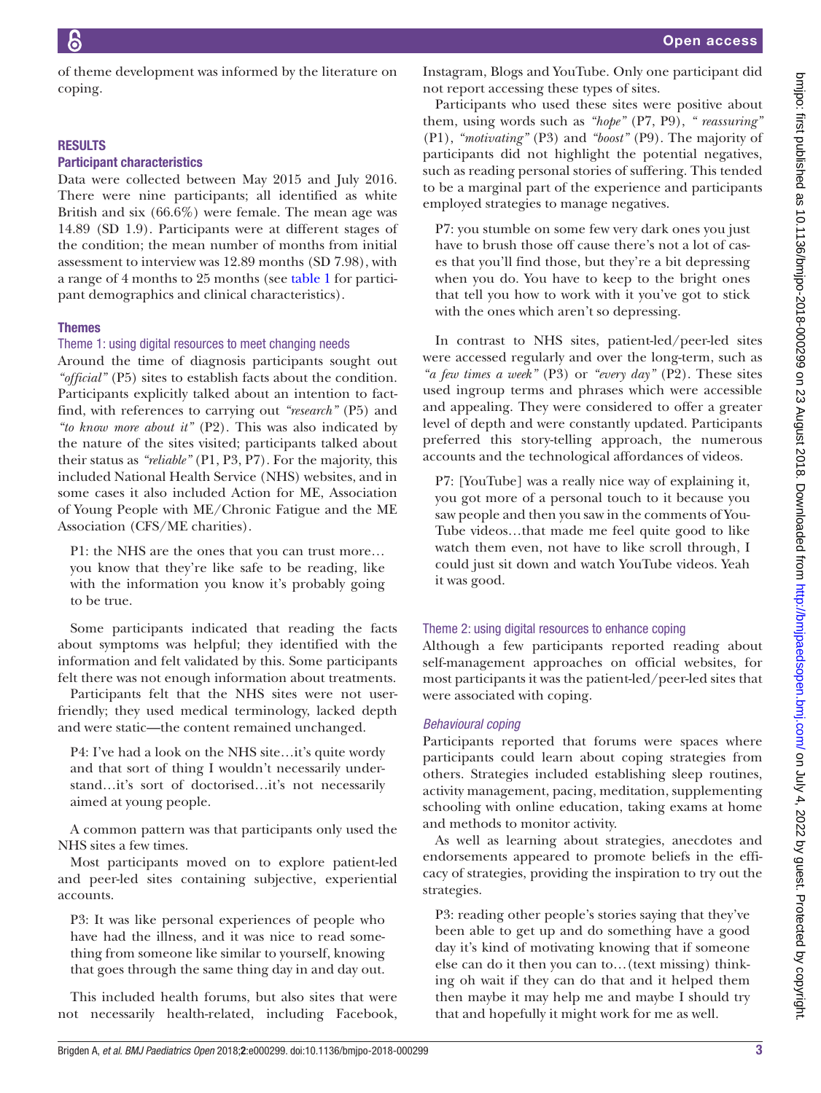of theme development was informed by the literature on coping.

# **RESULTS**

# Participant characteristics

Data were collected between May 2015 and July 2016. There were nine participants; all identified as white British and six (66.6%) were female. The mean age was 14.89 (SD 1.9). Participants were at different stages of the condition; the mean number of months from initial assessment to interview was 12.89 months (SD 7.98), with a range of 4 months to 25 months (see [table](#page-1-0) 1 for participant demographics and clinical characteristics).

# Themes

# Theme 1: using digital resources to meet changing needs

Around the time of diagnosis participants sought out *"official"* (P5) sites to establish facts about the condition. Participants explicitly talked about an intention to factfind, with references to carrying out *"research"* (P5) and *"to know more about it"* (P2). This was also indicated by the nature of the sites visited; participants talked about their status as *"reliable"* (P1, P3, P7). For the majority, this included National Health Service (NHS) websites, and in some cases it also included Action for ME, Association of Young People with ME/Chronic Fatigue and the ME Association (CFS/ME charities).

P1: the NHS are the ones that you can trust more… you know that they're like safe to be reading, like with the information you know it's probably going to be true.

Some participants indicated that reading the facts about symptoms was helpful; they identified with the information and felt validated by this. Some participants felt there was not enough information about treatments.

Participants felt that the NHS sites were not userfriendly; they used medical terminology, lacked depth and were static—the content remained unchanged.

P4: I've had a look on the NHS site…it's quite wordy and that sort of thing I wouldn't necessarily understand…it's sort of doctorised…it's not necessarily aimed at young people.

A common pattern was that participants only used the NHS sites a few times.

Most participants moved on to explore patient-led and peer-led sites containing subjective, experiential accounts.

P3: It was like personal experiences of people who have had the illness, and it was nice to read something from someone like similar to yourself, knowing that goes through the same thing day in and day out.

This included health forums, but also sites that were not necessarily health-related, including Facebook, Instagram, Blogs and YouTube. Only one participant did not report accessing these types of sites.

Participants who used these sites were positive about them, using words such as *"hope"* (P7, P9), *" reassuring"* (P1), *"motivating"* (P3) and *"boost"* (P9). The majority of participants did not highlight the potential negatives, such as reading personal stories of suffering. This tended to be a marginal part of the experience and participants employed strategies to manage negatives.

P7: you stumble on some few very dark ones you just have to brush those off cause there's not a lot of cases that you'll find those, but they're a bit depressing when you do. You have to keep to the bright ones that tell you how to work with it you've got to stick with the ones which aren't so depressing.

In contrast to NHS sites, patient-led/peer-led sites were accessed regularly and over the long-term, such as *"a few times a week"* (P3) or *"every day"* (P2). These sites used ingroup terms and phrases which were accessible and appealing. They were considered to offer a greater level of depth and were constantly updated. Participants preferred this story-telling approach, the numerous accounts and the technological affordances of videos.

P7: [YouTube] was a really nice way of explaining it, you got more of a personal touch to it because you saw people and then you saw in the comments of You-Tube videos…that made me feel quite good to like watch them even, not have to like scroll through, I could just sit down and watch YouTube videos. Yeah it was good.

#### Theme 2: using digital resources to enhance coping

Although a few participants reported reading about self-management approaches on official websites, for most participants it was the patient-led/peer-led sites that were associated with coping.

# *Behavioural coping*

Participants reported that forums were spaces where participants could learn about coping strategies from others. Strategies included establishing sleep routines, activity management, pacing, meditation, supplementing schooling with online education, taking exams at home and methods to monitor activity.

As well as learning about strategies, anecdotes and endorsements appeared to promote beliefs in the efficacy of strategies, providing the inspiration to try out the strategies.

P3: reading other people's stories saying that they've been able to get up and do something have a good day it's kind of motivating knowing that if someone else can do it then you can to…(text missing) thinking oh wait if they can do that and it helped them then maybe it may help me and maybe I should try that and hopefully it might work for me as well.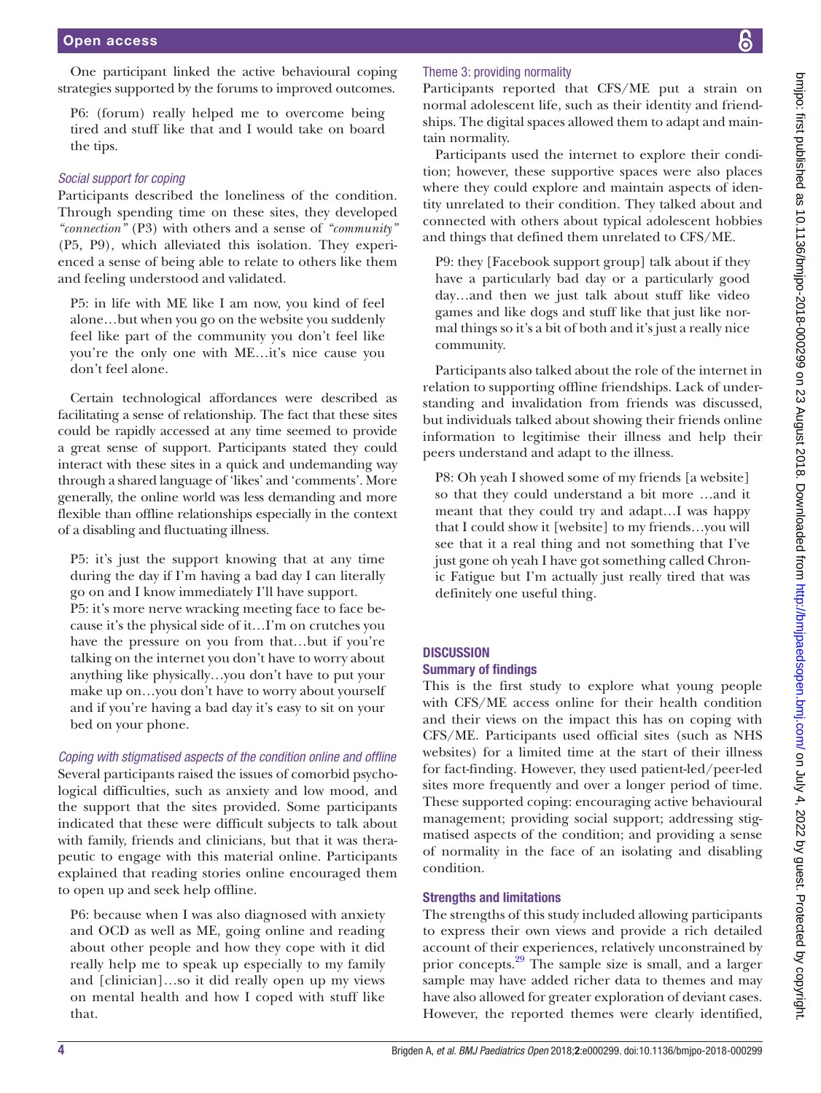One participant linked the active behavioural coping strategies supported by the forums to improved outcomes.

P6: (forum) really helped me to overcome being tired and stuff like that and I would take on board the tips.

# *Social support for coping*

Participants described the loneliness of the condition. Through spending time on these sites, they developed *"connection"* (P3) with others and a sense of *"community"* (P5, P9), which alleviated this isolation. They experienced a sense of being able to relate to others like them and feeling understood and validated.

P5: in life with ME like I am now, you kind of feel alone…but when you go on the website you suddenly feel like part of the community you don't feel like you're the only one with ME…it's nice cause you don't feel alone.

Certain technological affordances were described as facilitating a sense of relationship. The fact that these sites could be rapidly accessed at any time seemed to provide a great sense of support. Participants stated they could interact with these sites in a quick and undemanding way through a shared language of 'likes' and 'comments'. More generally, the online world was less demanding and more flexible than offline relationships especially in the context of a disabling and fluctuating illness.

P5: it's just the support knowing that at any time during the day if I'm having a bad day I can literally go on and I know immediately I'll have support. P5: it's more nerve wracking meeting face to face because it's the physical side of it…I'm on crutches you have the pressure on you from that…but if you're talking on the internet you don't have to worry about anything like physically…you don't have to put your make up on…you don't have to worry about yourself and if you're having a bad day it's easy to sit on your bed on your phone.

*Coping with stigmatised aspects of the condition online and offline* Several participants raised the issues of comorbid psychological difficulties, such as anxiety and low mood, and the support that the sites provided. Some participants indicated that these were difficult subjects to talk about with family, friends and clinicians, but that it was therapeutic to engage with this material online. Participants explained that reading stories online encouraged them to open up and seek help offline.

P6: because when I was also diagnosed with anxiety and OCD as well as ME, going online and reading about other people and how they cope with it did really help me to speak up especially to my family and [clinician]…so it did really open up my views on mental health and how I coped with stuff like that.

# Theme 3: providing normality

Participants reported that CFS/ME put a strain on normal adolescent life, such as their identity and friendships. The digital spaces allowed them to adapt and maintain normality.

Participants used the internet to explore their condition; however, these supportive spaces were also places where they could explore and maintain aspects of identity unrelated to their condition. They talked about and connected with others about typical adolescent hobbies and things that defined them unrelated to CFS/ME.

P9: they [Facebook support group] talk about if they have a particularly bad day or a particularly good day…and then we just talk about stuff like video games and like dogs and stuff like that just like normal things so it's a bit of both and it's just a really nice community.

Participants also talked about the role of the internet in relation to supporting offline friendships. Lack of understanding and invalidation from friends was discussed, but individuals talked about showing their friends online information to legitimise their illness and help their peers understand and adapt to the illness.

P8: Oh yeah I showed some of my friends [a website] so that they could understand a bit more …and it meant that they could try and adapt…I was happy that I could show it [website] to my friends…you will see that it a real thing and not something that I've just gone oh yeah I have got something called Chronic Fatigue but I'm actually just really tired that was definitely one useful thing.

# **DISCUSSION**

#### Summary of findings

This is the first study to explore what young people with CFS/ME access online for their health condition and their views on the impact this has on coping with CFS/ME. Participants used official sites (such as NHS websites) for a limited time at the start of their illness for fact-finding. However, they used patient-led/peer-led sites more frequently and over a longer period of time. These supported coping: encouraging active behavioural management; providing social support; addressing stigmatised aspects of the condition; and providing a sense of normality in the face of an isolating and disabling condition.

#### Strengths and limitations

The strengths of this study included allowing participants to express their own views and provide a rich detailed account of their experiences, relatively unconstrained by prior concepts.[29](#page-5-8) The sample size is small, and a larger sample may have added richer data to themes and may have also allowed for greater exploration of deviant cases. However, the reported themes were clearly identified,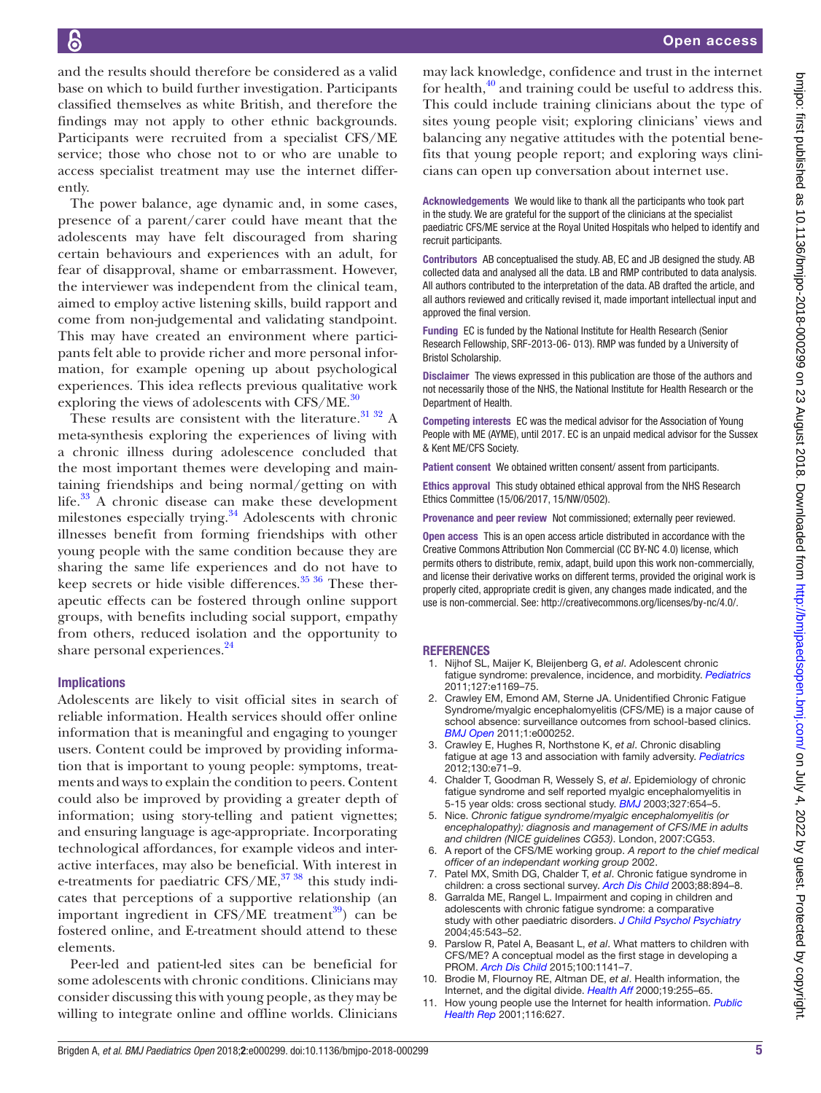and the results should therefore be considered as a valid base on which to build further investigation. Participants classified themselves as white British, and therefore the findings may not apply to other ethnic backgrounds. Participants were recruited from a specialist CFS/ME service; those who chose not to or who are unable to access specialist treatment may use the internet differently.

The power balance, age dynamic and, in some cases, presence of a parent/carer could have meant that the adolescents may have felt discouraged from sharing certain behaviours and experiences with an adult, for fear of disapproval, shame or embarrassment. However, the interviewer was independent from the clinical team, aimed to employ active listening skills, build rapport and come from non-judgemental and validating standpoint. This may have created an environment where participants felt able to provide richer and more personal information, for example opening up about psychological experiences. This idea reflects previous qualitative work exploring the views of adolescents with CFS/ME.<sup>30</sup>

These results are consistent with the literature.<sup>31 32</sup> A meta-synthesis exploring the experiences of living with a chronic illness during adolescence concluded that the most important themes were developing and maintaining friendships and being normal/getting on with life.[33](#page-5-11) A chronic disease can make these development milestones especially trying.<sup>34</sup> Adolescents with chronic illnesses benefit from forming friendships with other young people with the same condition because they are sharing the same life experiences and do not have to keep secrets or hide visible differences. $35\frac{36}{10}$  These therapeutic effects can be fostered through online support groups, with benefits including social support, empathy from others, reduced isolation and the opportunity to share personal experiences.<sup>[24](#page-5-14)</sup>

# Implications

Adolescents are likely to visit official sites in search of reliable information. Health services should offer online information that is meaningful and engaging to younger users. Content could be improved by providing information that is important to young people: symptoms, treatments and ways to explain the condition to peers. Content could also be improved by providing a greater depth of information; using story-telling and patient vignettes; and ensuring language is age-appropriate. Incorporating technological affordances, for example videos and interactive interfaces, may also be beneficial. With interest in e-treatments for paediatric CFS/ME,<sup>37 38</sup> this study indicates that perceptions of a supportive relationship (an important ingredient in  $CFS/ME$  treatment<sup>[39](#page-5-16)</sup>) can be fostered online, and E-treatment should attend to these elements.

Peer-led and patient-led sites can be beneficial for some adolescents with chronic conditions. Clinicians may consider discussing this with young people, as they may be willing to integrate online and offline worlds. Clinicians

may lack knowledge, confidence and trust in the internet for health, $\frac{40}{10}$  and training could be useful to address this. This could include training clinicians about the type of sites young people visit; exploring clinicians' views and balancing any negative attitudes with the potential benefits that young people report; and exploring ways clinicians can open up conversation about internet use.

Acknowledgements We would like to thank all the participants who took part in the study. We are grateful for the support of the clinicians at the specialist paediatric CFS/ME service at the Royal United Hospitals who helped to identify and recruit participants.

Contributors AB conceptualised the study. AB, EC and JB designed the study. AB collected data and analysed all the data. LB and RMP contributed to data analysis. All authors contributed to the interpretation of the data. AB drafted the article, and all authors reviewed and critically revised it, made important intellectual input and approved the final version.

Funding EC is funded by the National Institute for Health Research (Senior Research Fellowship, SRF-2013-06- 013). RMP was funded by a University of Bristol Scholarship.

Disclaimer The views expressed in this publication are those of the authors and not necessarily those of the NHS, the National Institute for Health Research or the Department of Health.

Competing interests EC was the medical advisor for the Association of Young People with ME (AYME), until 2017. EC is an unpaid medical advisor for the Sussex & Kent ME/CFS Society.

Patient consent We obtained written consent/assent from participants.

Ethics approval This study obtained ethical approval from the NHS Research Ethics Committee (15/06/2017, 15/NW/0502).

Provenance and peer review Not commissioned; externally peer reviewed.

Open access This is an open access article distributed in accordance with the Creative Commons Attribution Non Commercial (CC BY-NC 4.0) license, which permits others to distribute, remix, adapt, build upon this work non-commercially, and license their derivative works on different terms, provided the original work is properly cited, appropriate credit is given, any changes made indicated, and the use is non-commercial. See: <http://creativecommons.org/licenses/by-nc/4.0/>.

#### **REFERENCES**

- <span id="page-4-0"></span>1. Nijhof SL, Maijer K, Bleijenberg G, *et al*. Adolescent chronic fatigue syndrome: prevalence, incidence, and morbidity. *[Pediatrics](http://dx.doi.org/10.1542/peds.2010-1147)* 2011;127:e1169–75.
- 2. Crawley EM, Emond AM, Sterne JA. Unidentified Chronic Fatigue Syndrome/myalgic encephalomyelitis (CFS/ME) is a major cause of school absence: surveillance outcomes from school-based clinics. *[BMJ Open](http://dx.doi.org/10.1136/bmjopen-2011-000252)* 2011;1:e000252.
- 3. Crawley E, Hughes R, Northstone K, *et al*. Chronic disabling fatigue at age 13 and association with family adversity. *[Pediatrics](http://dx.doi.org/10.1542/peds.2011-2587)* 2012;130:e71–9.
- 4. Chalder T, Goodman R, Wessely S, *et al*. Epidemiology of chronic fatigue syndrome and self reported myalgic encephalomyelitis in 5-15 year olds: cross sectional study. *[BMJ](http://dx.doi.org/10.1136/bmj.327.7416.654)* 2003;327:654–5.
- <span id="page-4-1"></span>5. Nice. *Chronic fatigue syndrome/myalgic encephalomyelitis (or encephalopathy): diagnosis and management of CFS/ME in adults and children (NICE guidelines CG53)*. London, 2007:CG53.
- <span id="page-4-2"></span>6. A report of the CFS/ME working group. *A report to the chief medical officer of an independant working group* 2002.
- 7. Patel MX, Smith DG, Chalder T, *et al*. Chronic fatigue syndrome in children: a cross sectional survey. *[Arch Dis Child](http://dx.doi.org/10.1136/adc.88.10.894)* 2003;88:894–8.
- 8. Garralda ME, Rangel L. Impairment and coping in children and adolescents with chronic fatigue syndrome: a comparative study with other paediatric disorders. *[J Child Psychol Psychiatry](http://dx.doi.org/10.1111/j.1469-7610.2004.00244.x)* 2004;45:543–52.
- 9. Parslow R, Patel A, Beasant L, *et al*. What matters to children with CFS/ME? A conceptual model as the first stage in developing a PROM. *[Arch Dis Child](http://dx.doi.org/10.1136/archdischild-2015-308831)* 2015;100:1141–7.
- <span id="page-4-3"></span>10. Brodie M, Flournoy RE, Altman DE, *et al*. Health information, the Internet, and the digital divide. *[Health Aff](http://dx.doi.org/10.1377/hlthaff.19.6.255)* 2000;19:255–65.
- 11. How young people use the Internet for health information. *[Public](http://www.ncbi.nlm.nih.gov/pubmed/12201291)  [Health Rep](http://www.ncbi.nlm.nih.gov/pubmed/12201291)* 2001;116:627.